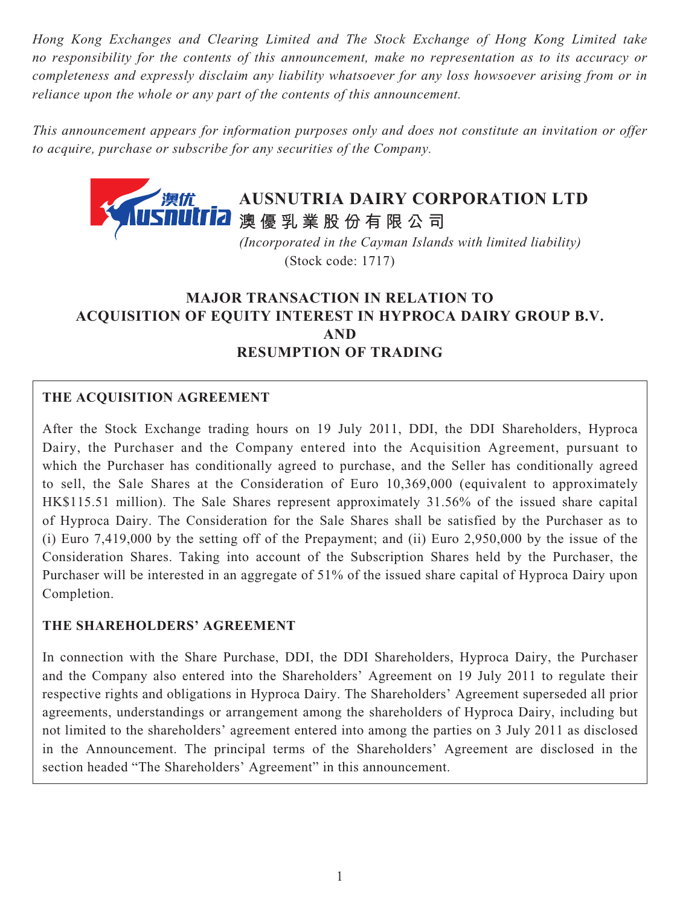*Hong Kong Exchanges and Clearing Limited and The Stock Exchange of Hong Kong Limited take no responsibility for the contents of this announcement, make no representation as to its accuracy or completeness and expressly disclaim any liability whatsoever for any loss howsoever arising from or in reliance upon the whole or any part of the contents of this announcement.*

*This announcement appears for information purposes only and does not constitute an invitation or offer to acquire, purchase or subscribe for any securities of the Company.*



 *(Incorporated in the Cayman Islands with limited liability)* (Stock code: 1717)

# **MAJOR TRANSACTION IN RELATION TO ACQUISITION OF EQUITY INTEREST IN HYPROCA DAIRY GROUP B.V. AND RESUMPTION OF TRADING**

## **THE ACQUISITION AGREEMENT**

After the Stock Exchange trading hours on 19 July 2011, DDI, the DDI Shareholders, Hyproca Dairy, the Purchaser and the Company entered into the Acquisition Agreement, pursuant to which the Purchaser has conditionally agreed to purchase, and the Seller has conditionally agreed to sell, the Sale Shares at the Consideration of Euro 10,369,000 (equivalent to approximately HK\$115.51 million). The Sale Shares represent approximately 31.56% of the issued share capital of Hyproca Dairy. The Consideration for the Sale Shares shall be satisfied by the Purchaser as to (i) Euro 7,419,000 by the setting off of the Prepayment; and (ii) Euro 2,950,000 by the issue of the Consideration Shares. Taking into account of the Subscription Shares held by the Purchaser, the Purchaser will be interested in an aggregate of 51% of the issued share capital of Hyproca Dairy upon Completion.

## **THE SHAREHOLDERS' AGREEMENT**

In connection with the Share Purchase, DDI, the DDI Shareholders, Hyproca Dairy, the Purchaser and the Company also entered into the Shareholders' Agreement on 19 July 2011 to regulate their respective rights and obligations in Hyproca Dairy. The Shareholders' Agreement superseded all prior agreements, understandings or arrangement among the shareholders of Hyproca Dairy, including but not limited to the shareholders' agreement entered into among the parties on 3 July 2011 as disclosed in the Announcement. The principal terms of the Shareholders' Agreement are disclosed in the section headed "The Shareholders' Agreement" in this announcement.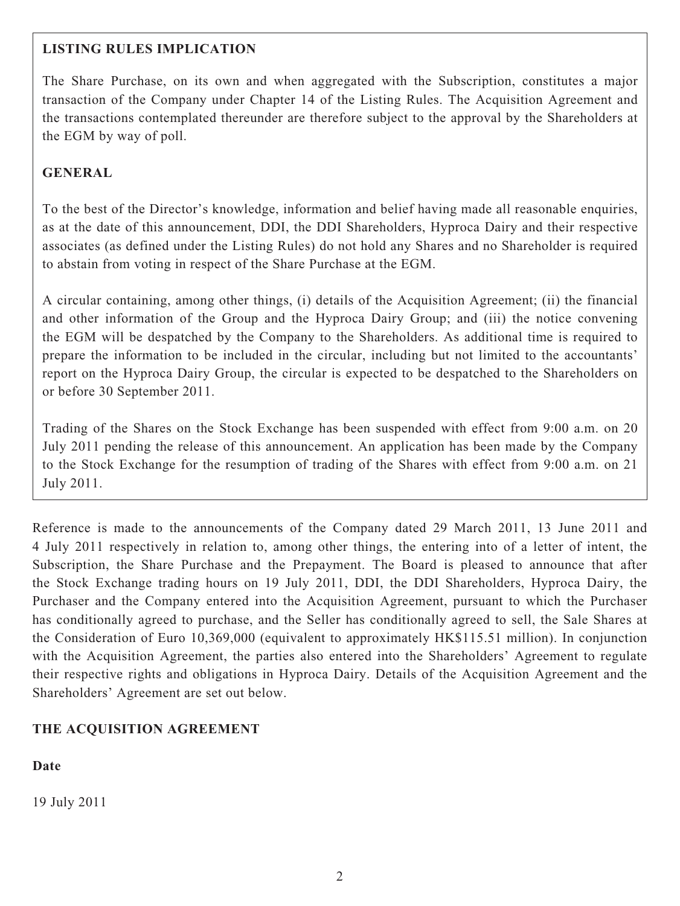## **LISTING RULES IMPLICATION**

The Share Purchase, on its own and when aggregated with the Subscription, constitutes a major transaction of the Company under Chapter 14 of the Listing Rules. The Acquisition Agreement and the transactions contemplated thereunder are therefore subject to the approval by the Shareholders at the EGM by way of poll.

## **GENERAL**

To the best of the Director's knowledge, information and belief having made all reasonable enquiries, as at the date of this announcement, DDI, the DDI Shareholders, Hyproca Dairy and their respective associates (as defined under the Listing Rules) do not hold any Shares and no Shareholder is required to abstain from voting in respect of the Share Purchase at the EGM.

A circular containing, among other things, (i) details of the Acquisition Agreement; (ii) the financial and other information of the Group and the Hyproca Dairy Group; and (iii) the notice convening the EGM will be despatched by the Company to the Shareholders. As additional time is required to prepare the information to be included in the circular, including but not limited to the accountants' report on the Hyproca Dairy Group, the circular is expected to be despatched to the Shareholders on or before 30 September 2011.

Trading of the Shares on the Stock Exchange has been suspended with effect from 9:00 a.m. on 20 July 2011 pending the release of this announcement. An application has been made by the Company to the Stock Exchange for the resumption of trading of the Shares with effect from 9:00 a.m. on 21 July 2011.

Reference is made to the announcements of the Company dated 29 March 2011, 13 June 2011 and 4 July 2011 respectively in relation to, among other things, the entering into of a letter of intent, the Subscription, the Share Purchase and the Prepayment. The Board is pleased to announce that after the Stock Exchange trading hours on 19 July 2011, DDI, the DDI Shareholders, Hyproca Dairy, the Purchaser and the Company entered into the Acquisition Agreement, pursuant to which the Purchaser has conditionally agreed to purchase, and the Seller has conditionally agreed to sell, the Sale Shares at the Consideration of Euro 10,369,000 (equivalent to approximately HK\$115.51 million). In conjunction with the Acquisition Agreement, the parties also entered into the Shareholders' Agreement to regulate their respective rights and obligations in Hyproca Dairy. Details of the Acquisition Agreement and the Shareholders' Agreement are set out below.

## **THE ACQUISITION AGREEMENT**

## **Date**

19 July 2011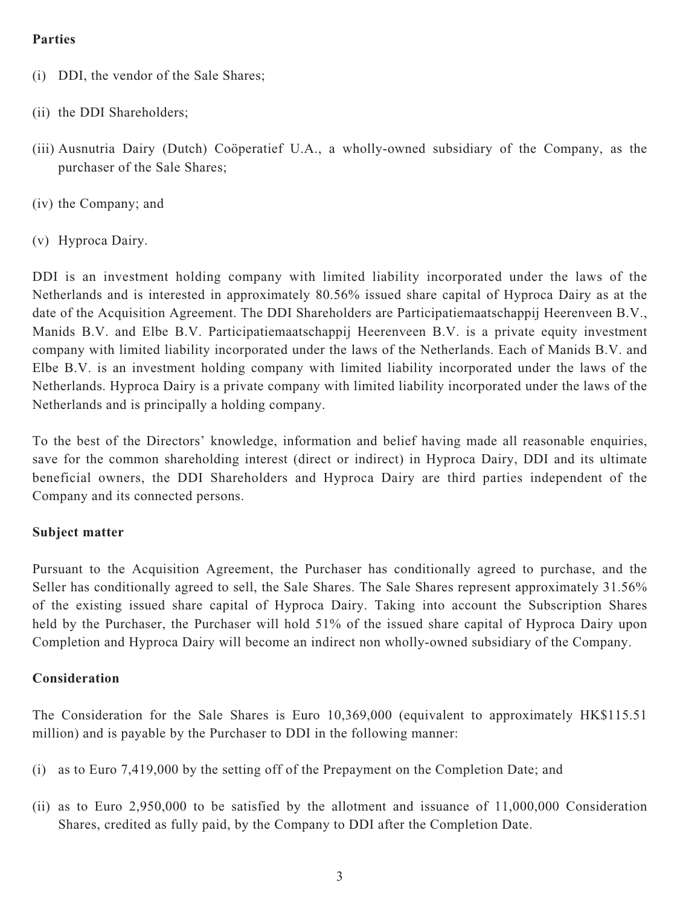### **Parties**

- (i) DDI, the vendor of the Sale Shares;
- (ii) the DDI Shareholders;
- (iii) Ausnutria Dairy (Dutch) Coöperatief U.A., a wholly-owned subsidiary of the Company, as the purchaser of the Sale Shares;
- (iv) the Company; and
- (v) Hyproca Dairy.

DDI is an investment holding company with limited liability incorporated under the laws of the Netherlands and is interested in approximately 80.56% issued share capital of Hyproca Dairy as at the date of the Acquisition Agreement. The DDI Shareholders are Participatiemaatschappij Heerenveen B.V., Manids B.V. and Elbe B.V. Participatiemaatschappij Heerenveen B.V. is a private equity investment company with limited liability incorporated under the laws of the Netherlands. Each of Manids B.V. and Elbe B.V. is an investment holding company with limited liability incorporated under the laws of the Netherlands. Hyproca Dairy is a private company with limited liability incorporated under the laws of the Netherlands and is principally a holding company.

To the best of the Directors' knowledge, information and belief having made all reasonable enquiries, save for the common shareholding interest (direct or indirect) in Hyproca Dairy, DDI and its ultimate beneficial owners, the DDI Shareholders and Hyproca Dairy are third parties independent of the Company and its connected persons.

#### **Subject matter**

Pursuant to the Acquisition Agreement, the Purchaser has conditionally agreed to purchase, and the Seller has conditionally agreed to sell, the Sale Shares. The Sale Shares represent approximately 31.56% of the existing issued share capital of Hyproca Dairy. Taking into account the Subscription Shares held by the Purchaser, the Purchaser will hold 51% of the issued share capital of Hyproca Dairy upon Completion and Hyproca Dairy will become an indirect non wholly-owned subsidiary of the Company.

#### **Consideration**

The Consideration for the Sale Shares is Euro 10,369,000 (equivalent to approximately HK\$115.51 million) and is payable by the Purchaser to DDI in the following manner:

- (i) as to Euro 7,419,000 by the setting off of the Prepayment on the Completion Date; and
- (ii) as to Euro 2,950,000 to be satisfied by the allotment and issuance of 11,000,000 Consideration Shares, credited as fully paid, by the Company to DDI after the Completion Date.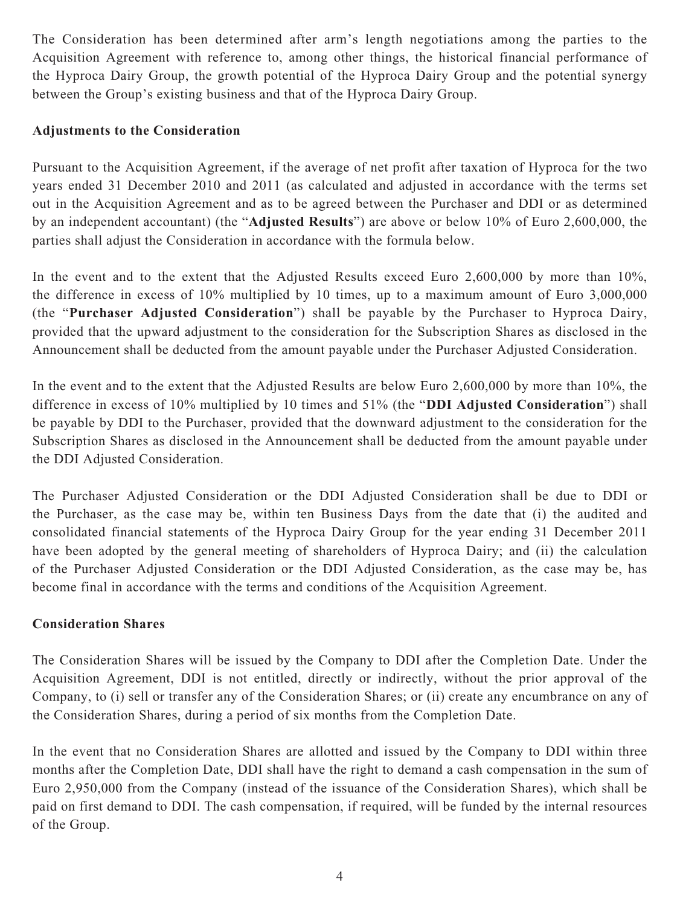The Consideration has been determined after arm's length negotiations among the parties to the Acquisition Agreement with reference to, among other things, the historical financial performance of the Hyproca Dairy Group, the growth potential of the Hyproca Dairy Group and the potential synergy between the Group's existing business and that of the Hyproca Dairy Group.

### **Adjustments to the Consideration**

Pursuant to the Acquisition Agreement, if the average of net profit after taxation of Hyproca for the two years ended 31 December 2010 and 2011 (as calculated and adjusted in accordance with the terms set out in the Acquisition Agreement and as to be agreed between the Purchaser and DDI or as determined by an independent accountant) (the "**Adjusted Results**") are above or below 10% of Euro 2,600,000, the parties shall adjust the Consideration in accordance with the formula below.

In the event and to the extent that the Adjusted Results exceed Euro 2,600,000 by more than 10%, the difference in excess of 10% multiplied by 10 times, up to a maximum amount of Euro 3,000,000 (the "**Purchaser Adjusted Consideration**") shall be payable by the Purchaser to Hyproca Dairy, provided that the upward adjustment to the consideration for the Subscription Shares as disclosed in the Announcement shall be deducted from the amount payable under the Purchaser Adjusted Consideration.

In the event and to the extent that the Adjusted Results are below Euro 2,600,000 by more than 10%, the difference in excess of 10% multiplied by 10 times and 51% (the "**DDI Adjusted Consideration**") shall be payable by DDI to the Purchaser, provided that the downward adjustment to the consideration for the Subscription Shares as disclosed in the Announcement shall be deducted from the amount payable under the DDI Adjusted Consideration.

The Purchaser Adjusted Consideration or the DDI Adjusted Consideration shall be due to DDI or the Purchaser, as the case may be, within ten Business Days from the date that (i) the audited and consolidated financial statements of the Hyproca Dairy Group for the year ending 31 December 2011 have been adopted by the general meeting of shareholders of Hyproca Dairy; and (ii) the calculation of the Purchaser Adjusted Consideration or the DDI Adjusted Consideration, as the case may be, has become final in accordance with the terms and conditions of the Acquisition Agreement.

#### **Consideration Shares**

The Consideration Shares will be issued by the Company to DDI after the Completion Date. Under the Acquisition Agreement, DDI is not entitled, directly or indirectly, without the prior approval of the Company, to (i) sell or transfer any of the Consideration Shares; or (ii) create any encumbrance on any of the Consideration Shares, during a period of six months from the Completion Date.

In the event that no Consideration Shares are allotted and issued by the Company to DDI within three months after the Completion Date, DDI shall have the right to demand a cash compensation in the sum of Euro 2,950,000 from the Company (instead of the issuance of the Consideration Shares), which shall be paid on first demand to DDI. The cash compensation, if required, will be funded by the internal resources of the Group.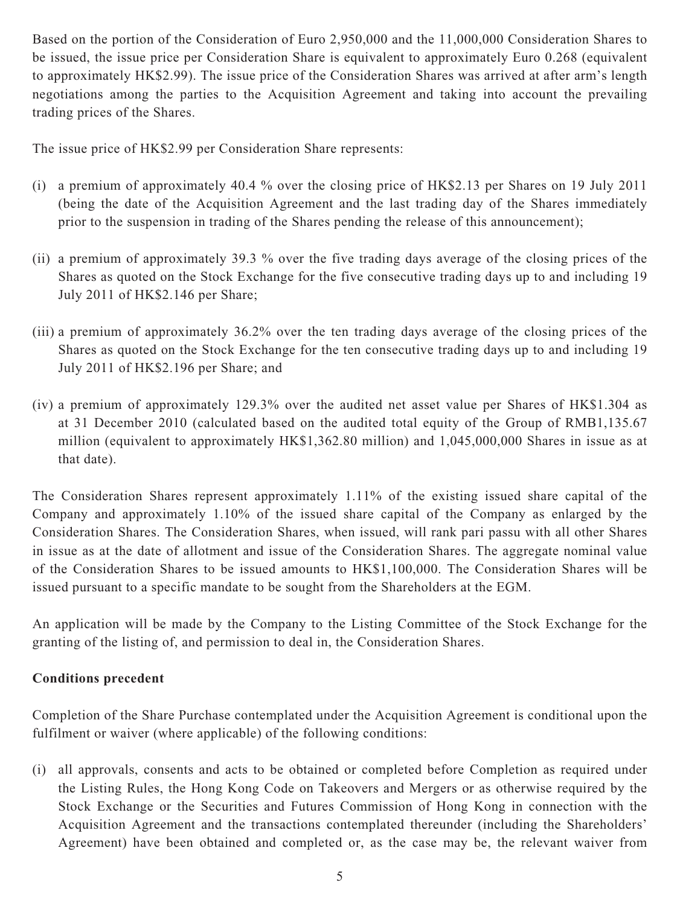Based on the portion of the Consideration of Euro 2,950,000 and the 11,000,000 Consideration Shares to be issued, the issue price per Consideration Share is equivalent to approximately Euro 0.268 (equivalent to approximately HK\$2.99). The issue price of the Consideration Shares was arrived at after arm's length negotiations among the parties to the Acquisition Agreement and taking into account the prevailing trading prices of the Shares.

The issue price of HK\$2.99 per Consideration Share represents:

- (i) a premium of approximately 40.4 % over the closing price of HK\$2.13 per Shares on 19 July 2011 (being the date of the Acquisition Agreement and the last trading day of the Shares immediately prior to the suspension in trading of the Shares pending the release of this announcement);
- (ii) a premium of approximately 39.3 % over the five trading days average of the closing prices of the Shares as quoted on the Stock Exchange for the five consecutive trading days up to and including 19 July 2011 of HK\$2.146 per Share;
- (iii) a premium of approximately 36.2% over the ten trading days average of the closing prices of the Shares as quoted on the Stock Exchange for the ten consecutive trading days up to and including 19 July 2011 of HK\$2.196 per Share; and
- (iv) a premium of approximately 129.3% over the audited net asset value per Shares of HK\$1.304 as at 31 December 2010 (calculated based on the audited total equity of the Group of RMB1,135.67 million (equivalent to approximately HK\$1,362.80 million) and 1,045,000,000 Shares in issue as at that date).

The Consideration Shares represent approximately 1.11% of the existing issued share capital of the Company and approximately 1.10% of the issued share capital of the Company as enlarged by the Consideration Shares. The Consideration Shares, when issued, will rank pari passu with all other Shares in issue as at the date of allotment and issue of the Consideration Shares. The aggregate nominal value of the Consideration Shares to be issued amounts to HK\$1,100,000. The Consideration Shares will be issued pursuant to a specific mandate to be sought from the Shareholders at the EGM.

An application will be made by the Company to the Listing Committee of the Stock Exchange for the granting of the listing of, and permission to deal in, the Consideration Shares.

## **Conditions precedent**

Completion of the Share Purchase contemplated under the Acquisition Agreement is conditional upon the fulfilment or waiver (where applicable) of the following conditions:

(i) all approvals, consents and acts to be obtained or completed before Completion as required under the Listing Rules, the Hong Kong Code on Takeovers and Mergers or as otherwise required by the Stock Exchange or the Securities and Futures Commission of Hong Kong in connection with the Acquisition Agreement and the transactions contemplated thereunder (including the Shareholders' Agreement) have been obtained and completed or, as the case may be, the relevant waiver from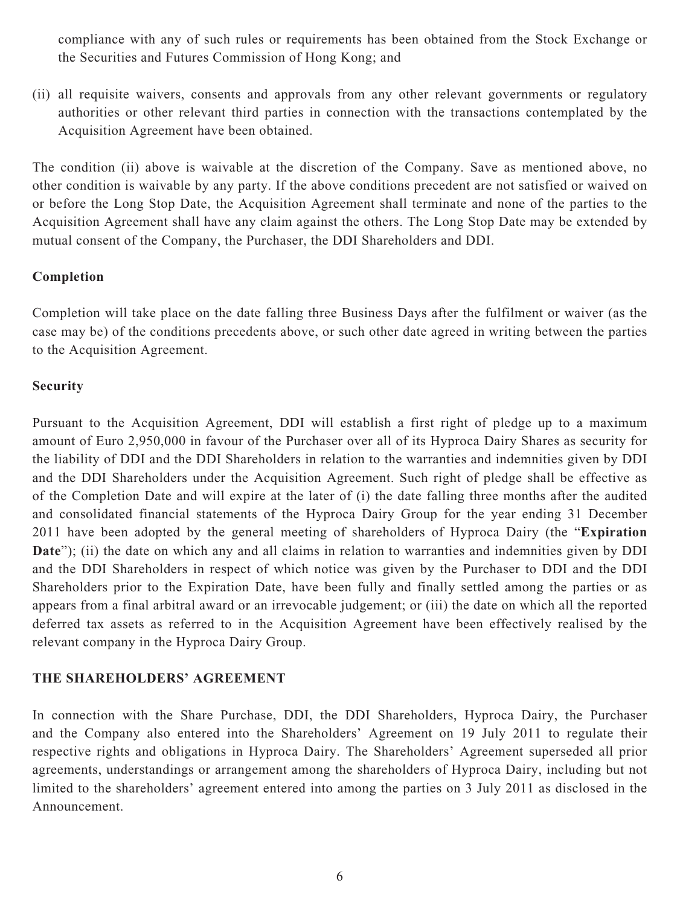compliance with any of such rules or requirements has been obtained from the Stock Exchange or the Securities and Futures Commission of Hong Kong; and

(ii) all requisite waivers, consents and approvals from any other relevant governments or regulatory authorities or other relevant third parties in connection with the transactions contemplated by the Acquisition Agreement have been obtained.

The condition (ii) above is waivable at the discretion of the Company. Save as mentioned above, no other condition is waivable by any party. If the above conditions precedent are not satisfied or waived on or before the Long Stop Date, the Acquisition Agreement shall terminate and none of the parties to the Acquisition Agreement shall have any claim against the others. The Long Stop Date may be extended by mutual consent of the Company, the Purchaser, the DDI Shareholders and DDI.

#### **Completion**

Completion will take place on the date falling three Business Days after the fulfilment or waiver (as the case may be) of the conditions precedents above, or such other date agreed in writing between the parties to the Acquisition Agreement.

### **Security**

Pursuant to the Acquisition Agreement, DDI will establish a first right of pledge up to a maximum amount of Euro 2,950,000 in favour of the Purchaser over all of its Hyproca Dairy Shares as security for the liability of DDI and the DDI Shareholders in relation to the warranties and indemnities given by DDI and the DDI Shareholders under the Acquisition Agreement. Such right of pledge shall be effective as of the Completion Date and will expire at the later of (i) the date falling three months after the audited and consolidated financial statements of the Hyproca Dairy Group for the year ending 31 December 2011 have been adopted by the general meeting of shareholders of Hyproca Dairy (the "**Expiration Date**"); (ii) the date on which any and all claims in relation to warranties and indemnities given by DDI and the DDI Shareholders in respect of which notice was given by the Purchaser to DDI and the DDI Shareholders prior to the Expiration Date, have been fully and finally settled among the parties or as appears from a final arbitral award or an irrevocable judgement; or (iii) the date on which all the reported deferred tax assets as referred to in the Acquisition Agreement have been effectively realised by the relevant company in the Hyproca Dairy Group.

#### **THE SHAREHOLDERS' AGREEMENT**

In connection with the Share Purchase, DDI, the DDI Shareholders, Hyproca Dairy, the Purchaser and the Company also entered into the Shareholders' Agreement on 19 July 2011 to regulate their respective rights and obligations in Hyproca Dairy. The Shareholders' Agreement superseded all prior agreements, understandings or arrangement among the shareholders of Hyproca Dairy, including but not limited to the shareholders' agreement entered into among the parties on 3 July 2011 as disclosed in the Announcement.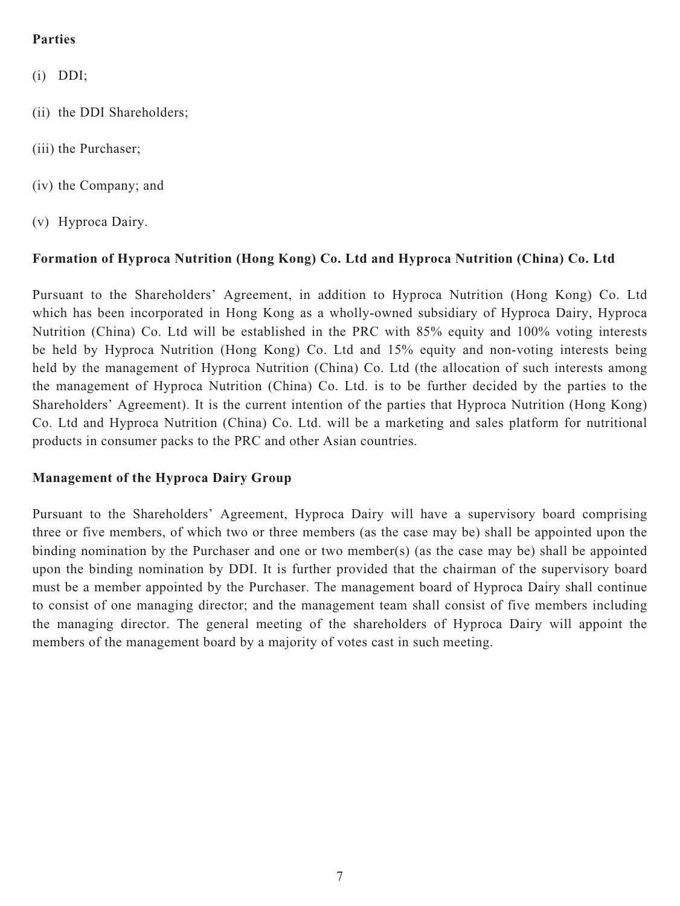## **Parties**

- (i) DDI;
- (ii) the DDI Shareholders;
- (iii) the Purchaser;
- (iv) the Company; and
- (v) Hyproca Dairy.

### **Formation of Hyproca Nutrition (Hong Kong) Co. Ltd and Hyproca Nutrition (China) Co. Ltd**

Pursuant to the Shareholders' Agreement, in addition to Hyproca Nutrition (Hong Kong) Co. Ltd which has been incorporated in Hong Kong as a wholly-owned subsidiary of Hyproca Dairy, Hyproca Nutrition (China) Co. Ltd will be established in the PRC with 85% equity and 100% voting interests be held by Hyproca Nutrition (Hong Kong) Co. Ltd and 15% equity and non-voting interests being held by the management of Hyproca Nutrition (China) Co. Ltd (the allocation of such interests among the management of Hyproca Nutrition (China) Co. Ltd. is to be further decided by the parties to the Shareholders' Agreement). It is the current intention of the parties that Hyproca Nutrition (Hong Kong) Co. Ltd and Hyproca Nutrition (China) Co. Ltd. will be a marketing and sales platform for nutritional products in consumer packs to the PRC and other Asian countries.

#### **Management of the Hyproca Dairy Group**

Pursuant to the Shareholders' Agreement, Hyproca Dairy will have a supervisory board comprising three or five members, of which two or three members (as the case may be) shall be appointed upon the binding nomination by the Purchaser and one or two member(s) (as the case may be) shall be appointed upon the binding nomination by DDI. It is further provided that the chairman of the supervisory board must be a member appointed by the Purchaser. The management board of Hyproca Dairy shall continue to consist of one managing director; and the management team shall consist of five members including the managing director. The general meeting of the shareholders of Hyproca Dairy will appoint the members of the management board by a majority of votes cast in such meeting.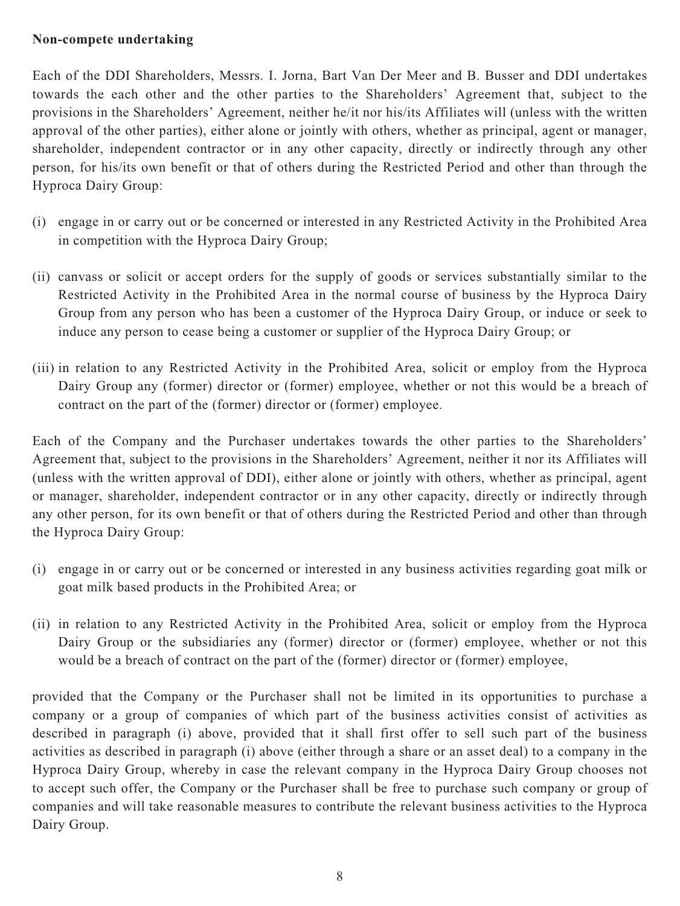#### **Non-compete undertaking**

Each of the DDI Shareholders, Messrs. I. Jorna, Bart Van Der Meer and B. Busser and DDI undertakes towards the each other and the other parties to the Shareholders' Agreement that, subject to the provisions in the Shareholders' Agreement, neither he/it nor his/its Affiliates will (unless with the written approval of the other parties), either alone or jointly with others, whether as principal, agent or manager, shareholder, independent contractor or in any other capacity, directly or indirectly through any other person, for his/its own benefit or that of others during the Restricted Period and other than through the Hyproca Dairy Group:

- (i) engage in or carry out or be concerned or interested in any Restricted Activity in the Prohibited Area in competition with the Hyproca Dairy Group;
- (ii) canvass or solicit or accept orders for the supply of goods or services substantially similar to the Restricted Activity in the Prohibited Area in the normal course of business by the Hyproca Dairy Group from any person who has been a customer of the Hyproca Dairy Group, or induce or seek to induce any person to cease being a customer or supplier of the Hyproca Dairy Group; or
- (iii) in relation to any Restricted Activity in the Prohibited Area, solicit or employ from the Hyproca Dairy Group any (former) director or (former) employee, whether or not this would be a breach of contract on the part of the (former) director or (former) employee.

Each of the Company and the Purchaser undertakes towards the other parties to the Shareholders' Agreement that, subject to the provisions in the Shareholders' Agreement, neither it nor its Affiliates will (unless with the written approval of DDI), either alone or jointly with others, whether as principal, agent or manager, shareholder, independent contractor or in any other capacity, directly or indirectly through any other person, for its own benefit or that of others during the Restricted Period and other than through the Hyproca Dairy Group:

- (i) engage in or carry out or be concerned or interested in any business activities regarding goat milk or goat milk based products in the Prohibited Area; or
- (ii) in relation to any Restricted Activity in the Prohibited Area, solicit or employ from the Hyproca Dairy Group or the subsidiaries any (former) director or (former) employee, whether or not this would be a breach of contract on the part of the (former) director or (former) employee,

provided that the Company or the Purchaser shall not be limited in its opportunities to purchase a company or a group of companies of which part of the business activities consist of activities as described in paragraph (i) above, provided that it shall first offer to sell such part of the business activities as described in paragraph (i) above (either through a share or an asset deal) to a company in the Hyproca Dairy Group, whereby in case the relevant company in the Hyproca Dairy Group chooses not to accept such offer, the Company or the Purchaser shall be free to purchase such company or group of companies and will take reasonable measures to contribute the relevant business activities to the Hyproca Dairy Group.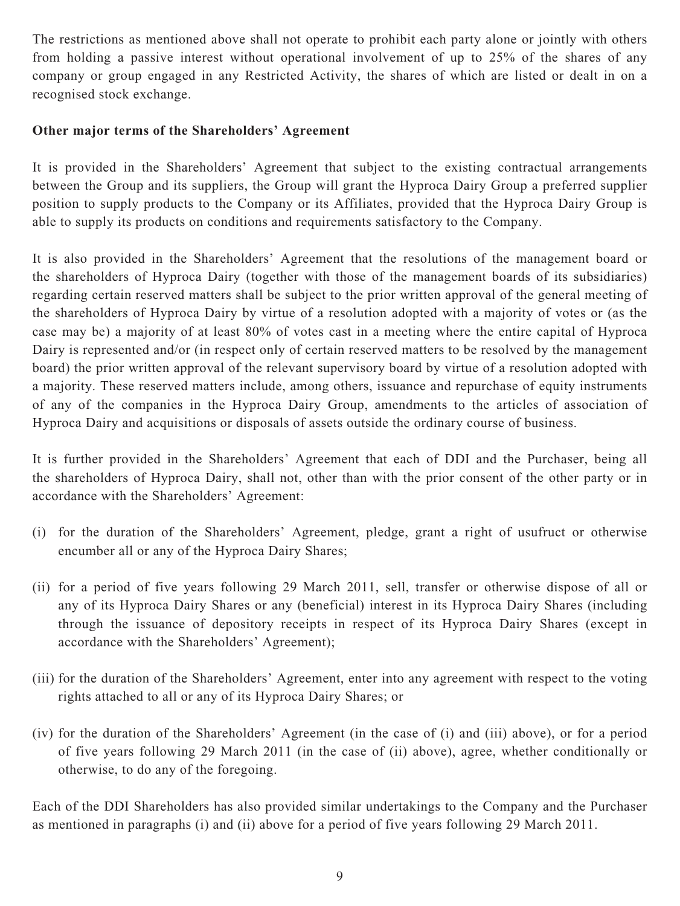The restrictions as mentioned above shall not operate to prohibit each party alone or jointly with others from holding a passive interest without operational involvement of up to 25% of the shares of any company or group engaged in any Restricted Activity, the shares of which are listed or dealt in on a recognised stock exchange.

### **Other major terms of the Shareholders' Agreement**

It is provided in the Shareholders' Agreement that subject to the existing contractual arrangements between the Group and its suppliers, the Group will grant the Hyproca Dairy Group a preferred supplier position to supply products to the Company or its Affiliates, provided that the Hyproca Dairy Group is able to supply its products on conditions and requirements satisfactory to the Company.

It is also provided in the Shareholders' Agreement that the resolutions of the management board or the shareholders of Hyproca Dairy (together with those of the management boards of its subsidiaries) regarding certain reserved matters shall be subject to the prior written approval of the general meeting of the shareholders of Hyproca Dairy by virtue of a resolution adopted with a majority of votes or (as the case may be) a majority of at least 80% of votes cast in a meeting where the entire capital of Hyproca Dairy is represented and/or (in respect only of certain reserved matters to be resolved by the management board) the prior written approval of the relevant supervisory board by virtue of a resolution adopted with a majority. These reserved matters include, among others, issuance and repurchase of equity instruments of any of the companies in the Hyproca Dairy Group, amendments to the articles of association of Hyproca Dairy and acquisitions or disposals of assets outside the ordinary course of business.

It is further provided in the Shareholders' Agreement that each of DDI and the Purchaser, being all the shareholders of Hyproca Dairy, shall not, other than with the prior consent of the other party or in accordance with the Shareholders' Agreement:

- (i) for the duration of the Shareholders' Agreement, pledge, grant a right of usufruct or otherwise encumber all or any of the Hyproca Dairy Shares;
- (ii) for a period of five years following 29 March 2011, sell, transfer or otherwise dispose of all or any of its Hyproca Dairy Shares or any (beneficial) interest in its Hyproca Dairy Shares (including through the issuance of depository receipts in respect of its Hyproca Dairy Shares (except in accordance with the Shareholders' Agreement);
- (iii) for the duration of the Shareholders' Agreement, enter into any agreement with respect to the voting rights attached to all or any of its Hyproca Dairy Shares; or
- (iv) for the duration of the Shareholders' Agreement (in the case of (i) and (iii) above), or for a period of five years following 29 March 2011 (in the case of (ii) above), agree, whether conditionally or otherwise, to do any of the foregoing.

Each of the DDI Shareholders has also provided similar undertakings to the Company and the Purchaser as mentioned in paragraphs (i) and (ii) above for a period of five years following 29 March 2011.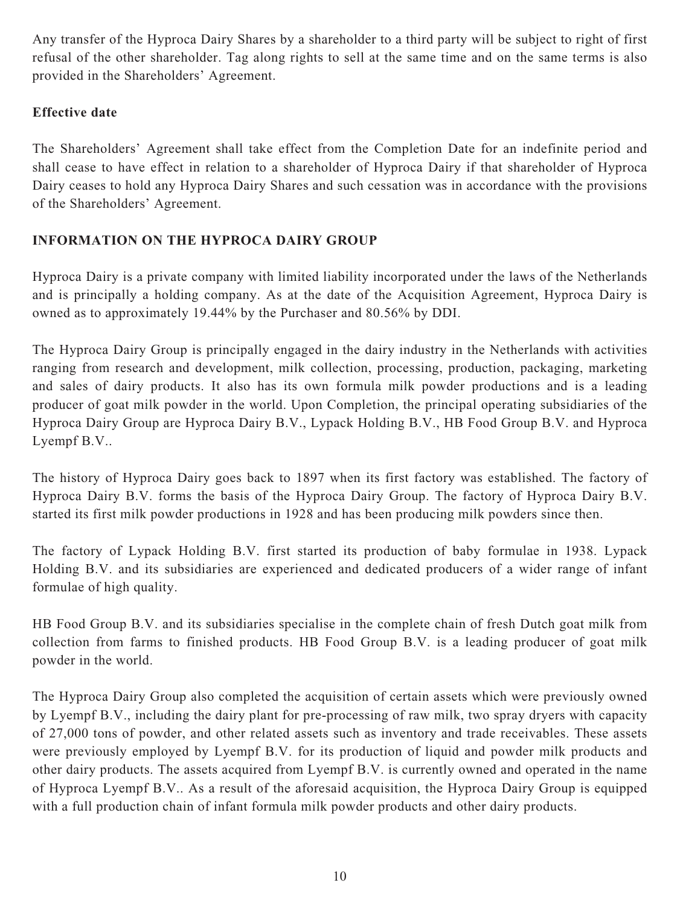Any transfer of the Hyproca Dairy Shares by a shareholder to a third party will be subject to right of first refusal of the other shareholder. Tag along rights to sell at the same time and on the same terms is also provided in the Shareholders' Agreement.

## **Effective date**

The Shareholders' Agreement shall take effect from the Completion Date for an indefinite period and shall cease to have effect in relation to a shareholder of Hyproca Dairy if that shareholder of Hyproca Dairy ceases to hold any Hyproca Dairy Shares and such cessation was in accordance with the provisions of the Shareholders' Agreement.

## **INFORMATION ON THE HYPROCA DAIRY GROUP**

Hyproca Dairy is a private company with limited liability incorporated under the laws of the Netherlands and is principally a holding company. As at the date of the Acquisition Agreement, Hyproca Dairy is owned as to approximately 19.44% by the Purchaser and 80.56% by DDI.

The Hyproca Dairy Group is principally engaged in the dairy industry in the Netherlands with activities ranging from research and development, milk collection, processing, production, packaging, marketing and sales of dairy products. It also has its own formula milk powder productions and is a leading producer of goat milk powder in the world. Upon Completion, the principal operating subsidiaries of the Hyproca Dairy Group are Hyproca Dairy B.V., Lypack Holding B.V., HB Food Group B.V. and Hyproca Lyempf B.V..

The history of Hyproca Dairy goes back to 1897 when its first factory was established. The factory of Hyproca Dairy B.V. forms the basis of the Hyproca Dairy Group. The factory of Hyproca Dairy B.V. started its first milk powder productions in 1928 and has been producing milk powders since then.

The factory of Lypack Holding B.V. first started its production of baby formulae in 1938. Lypack Holding B.V. and its subsidiaries are experienced and dedicated producers of a wider range of infant formulae of high quality.

HB Food Group B.V. and its subsidiaries specialise in the complete chain of fresh Dutch goat milk from collection from farms to finished products. HB Food Group B.V. is a leading producer of goat milk powder in the world.

The Hyproca Dairy Group also completed the acquisition of certain assets which were previously owned by Lyempf B.V., including the dairy plant for pre-processing of raw milk, two spray dryers with capacity of 27,000 tons of powder, and other related assets such as inventory and trade receivables. These assets were previously employed by Lyempf B.V. for its production of liquid and powder milk products and other dairy products. The assets acquired from Lyempf B.V. is currently owned and operated in the name of Hyproca Lyempf B.V.. As a result of the aforesaid acquisition, the Hyproca Dairy Group is equipped with a full production chain of infant formula milk powder products and other dairy products.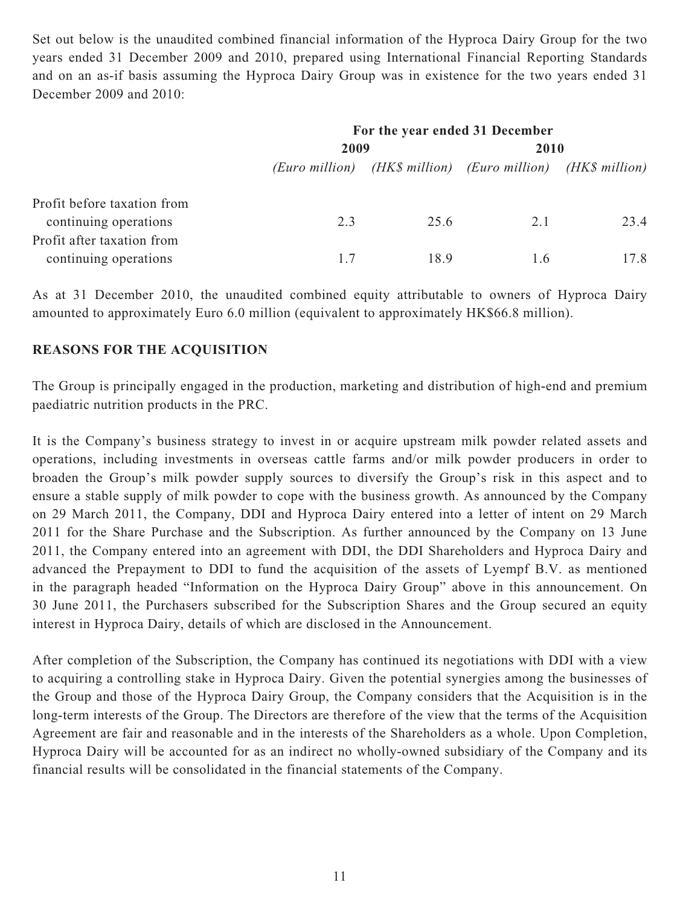Set out below is the unaudited combined financial information of the Hyproca Dairy Group for the two years ended 31 December 2009 and 2010, prepared using International Financial Reporting Standards and on an as-if basis assuming the Hyproca Dairy Group was in existence for the two years ended 31 December 2009 and 2010:

|                             | For the year ended 31 December |      |                                                             |      |
|-----------------------------|--------------------------------|------|-------------------------------------------------------------|------|
|                             | 2009                           |      | 2010                                                        |      |
|                             |                                |      | (Euro million) (HK\$ million) (Euro million) (HK\$ million) |      |
| Profit before taxation from |                                |      |                                                             |      |
| continuing operations       | 2.3                            | 25.6 | 2.1                                                         | 23.4 |
| Profit after taxation from  |                                |      |                                                             |      |
| continuing operations       | 17                             | 18.9 | 1.6                                                         | 17.8 |

As at 31 December 2010, the unaudited combined equity attributable to owners of Hyproca Dairy amounted to approximately Euro 6.0 million (equivalent to approximately HK\$66.8 million).

### **REASONS FOR THE ACQUISITION**

The Group is principally engaged in the production, marketing and distribution of high-end and premium paediatric nutrition products in the PRC.

It is the Company's business strategy to invest in or acquire upstream milk powder related assets and operations, including investments in overseas cattle farms and/or milk powder producers in order to broaden the Group's milk powder supply sources to diversify the Group's risk in this aspect and to ensure a stable supply of milk powder to cope with the business growth. As announced by the Company on 29 March 2011, the Company, DDI and Hyproca Dairy entered into a letter of intent on 29 March 2011 for the Share Purchase and the Subscription. As further announced by the Company on 13 June 2011, the Company entered into an agreement with DDI, the DDI Shareholders and Hyproca Dairy and advanced the Prepayment to DDI to fund the acquisition of the assets of Lyempf B.V. as mentioned in the paragraph headed "Information on the Hyproca Dairy Group" above in this announcement. On 30 June 2011, the Purchasers subscribed for the Subscription Shares and the Group secured an equity interest in Hyproca Dairy, details of which are disclosed in the Announcement.

After completion of the Subscription, the Company has continued its negotiations with DDI with a view to acquiring a controlling stake in Hyproca Dairy. Given the potential synergies among the businesses of the Group and those of the Hyproca Dairy Group, the Company considers that the Acquisition is in the long-term interests of the Group. The Directors are therefore of the view that the terms of the Acquisition Agreement are fair and reasonable and in the interests of the Shareholders as a whole. Upon Completion, Hyproca Dairy will be accounted for as an indirect no wholly-owned subsidiary of the Company and its financial results will be consolidated in the financial statements of the Company.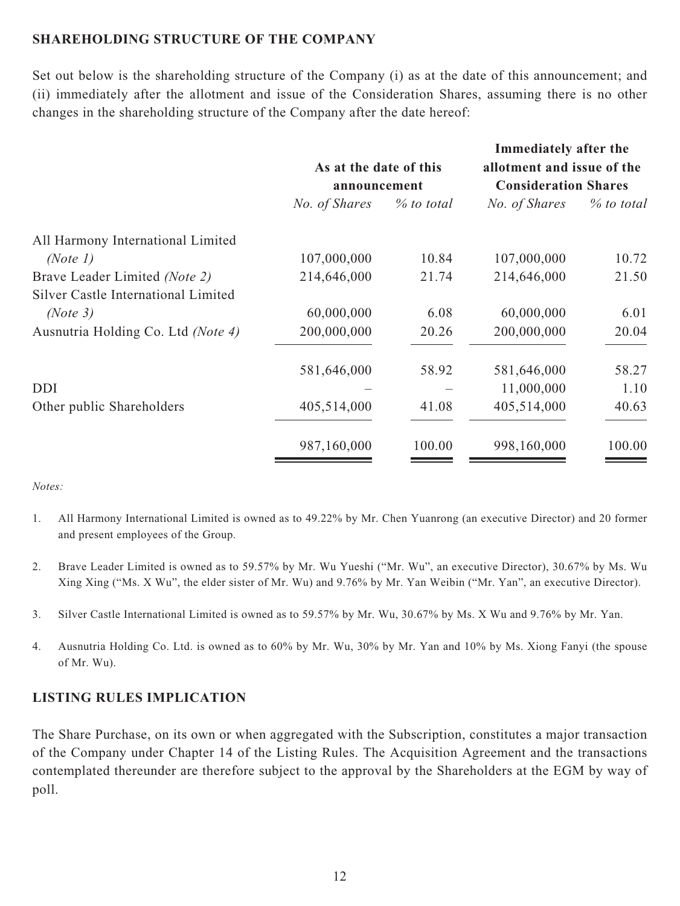#### **SHAREHOLDING STRUCTURE OF THE COMPANY**

Set out below is the shareholding structure of the Company (i) as at the date of this announcement; and (ii) immediately after the allotment and issue of the Consideration Shares, assuming there is no other changes in the shareholding structure of the Company after the date hereof:

|                                     |                                        |            | Immediately after the                                     |            |
|-------------------------------------|----------------------------------------|------------|-----------------------------------------------------------|------------|
|                                     | As at the date of this<br>announcement |            | allotment and issue of the<br><b>Consideration Shares</b> |            |
|                                     |                                        |            |                                                           |            |
|                                     | No. of Shares                          | % to total | No. of Shares                                             | % to total |
| All Harmony International Limited   |                                        |            |                                                           |            |
| (Note 1)                            | 107,000,000                            | 10.84      | 107,000,000                                               | 10.72      |
| Brave Leader Limited (Note 2)       | 214,646,000                            | 21.74      | 214,646,000                                               | 21.50      |
| Silver Castle International Limited |                                        |            |                                                           |            |
| (Note 3)                            | 60,000,000                             | 6.08       | 60,000,000                                                | 6.01       |
| Ausnutria Holding Co. Ltd (Note 4)  | 200,000,000                            | 20.26      | 200,000,000                                               | 20.04      |
|                                     | 581,646,000                            | 58.92      | 581,646,000                                               | 58.27      |
| <b>DDI</b>                          |                                        |            | 11,000,000                                                | 1.10       |
| Other public Shareholders           | 405,514,000                            | 41.08      | 405,514,000                                               | 40.63      |
|                                     | 987,160,000                            | 100.00     | 998,160,000                                               | 100.00     |
|                                     |                                        |            |                                                           |            |

#### *Notes:*

- 1. All Harmony International Limited is owned as to 49.22% by Mr. Chen Yuanrong (an executive Director) and 20 former and present employees of the Group.
- 2. Brave Leader Limited is owned as to 59.57% by Mr. Wu Yueshi ("Mr. Wu", an executive Director), 30.67% by Ms. Wu Xing Xing ("Ms. X Wu", the elder sister of Mr. Wu) and 9.76% by Mr. Yan Weibin ("Mr. Yan", an executive Director).
- 3. Silver Castle International Limited is owned as to 59.57% by Mr. Wu, 30.67% by Ms. X Wu and 9.76% by Mr. Yan.
- 4. Ausnutria Holding Co. Ltd. is owned as to 60% by Mr. Wu, 30% by Mr. Yan and 10% by Ms. Xiong Fanyi (the spouse of Mr. Wu).

#### **LISTING RULES IMPLICATION**

The Share Purchase, on its own or when aggregated with the Subscription, constitutes a major transaction of the Company under Chapter 14 of the Listing Rules. The Acquisition Agreement and the transactions contemplated thereunder are therefore subject to the approval by the Shareholders at the EGM by way of poll.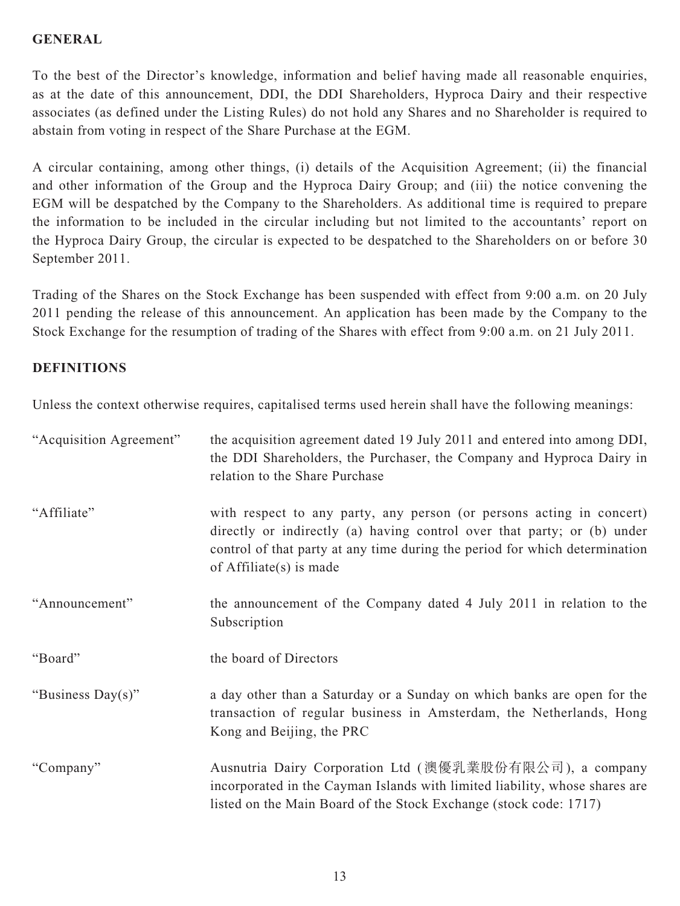### **GENERAL**

To the best of the Director's knowledge, information and belief having made all reasonable enquiries, as at the date of this announcement, DDI, the DDI Shareholders, Hyproca Dairy and their respective associates (as defined under the Listing Rules) do not hold any Shares and no Shareholder is required to abstain from voting in respect of the Share Purchase at the EGM.

A circular containing, among other things, (i) details of the Acquisition Agreement; (ii) the financial and other information of the Group and the Hyproca Dairy Group; and (iii) the notice convening the EGM will be despatched by the Company to the Shareholders. As additional time is required to prepare the information to be included in the circular including but not limited to the accountants' report on the Hyproca Dairy Group, the circular is expected to be despatched to the Shareholders on or before 30 September 2011.

Trading of the Shares on the Stock Exchange has been suspended with effect from 9:00 a.m. on 20 July 2011 pending the release of this announcement. An application has been made by the Company to the Stock Exchange for the resumption of trading of the Shares with effect from 9:00 a.m. on 21 July 2011.

### **DEFINITIONS**

Unless the context otherwise requires, capitalised terms used herein shall have the following meanings:

| "Acquisition Agreement" | the acquisition agreement dated 19 July 2011 and entered into among DDI,<br>the DDI Shareholders, the Purchaser, the Company and Hyproca Dairy in<br>relation to the Share Purchase                                                                         |
|-------------------------|-------------------------------------------------------------------------------------------------------------------------------------------------------------------------------------------------------------------------------------------------------------|
| "Affiliate"             | with respect to any party, any person (or persons acting in concert)<br>directly or indirectly (a) having control over that party; or (b) under<br>control of that party at any time during the period for which determination<br>of $Affiliate(s)$ is made |
| "Announcement"          | the announcement of the Company dated 4 July 2011 in relation to the<br>Subscription                                                                                                                                                                        |
| "Board"                 | the board of Directors                                                                                                                                                                                                                                      |
| "Business Day(s)"       | a day other than a Saturday or a Sunday on which banks are open for the<br>transaction of regular business in Amsterdam, the Netherlands, Hong<br>Kong and Beijing, the PRC                                                                                 |
| "Company"               | Ausnutria Dairy Corporation Ltd (澳優乳業股份有限公司), a company<br>incorporated in the Cayman Islands with limited liability, whose shares are<br>listed on the Main Board of the Stock Exchange (stock code: 1717)                                                 |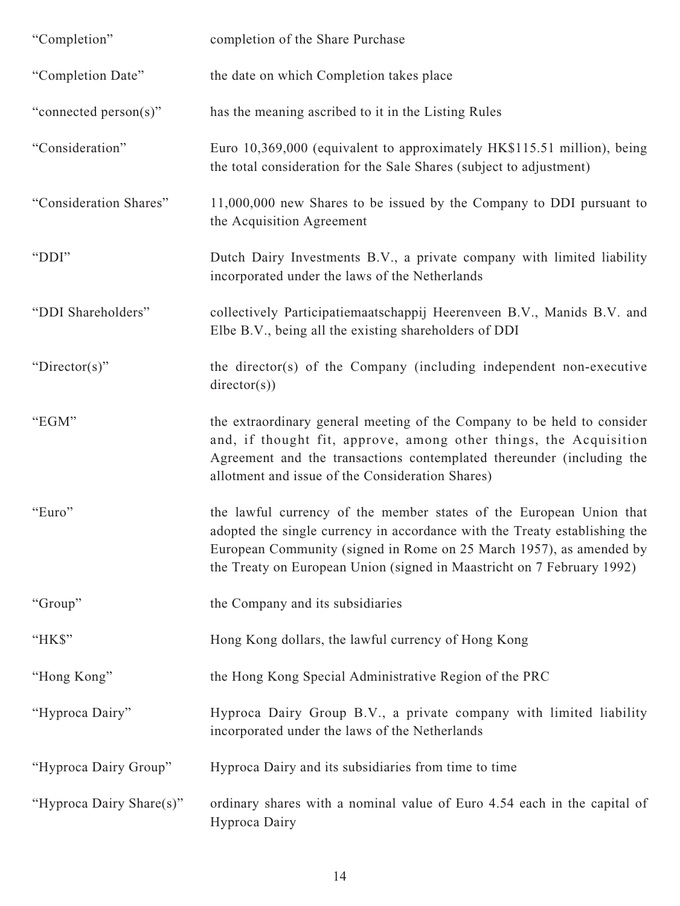| "Completion"             | completion of the Share Purchase                                                                                                                                                                                                                                                                   |
|--------------------------|----------------------------------------------------------------------------------------------------------------------------------------------------------------------------------------------------------------------------------------------------------------------------------------------------|
| "Completion Date"        | the date on which Completion takes place                                                                                                                                                                                                                                                           |
| "connected person(s)"    | has the meaning ascribed to it in the Listing Rules                                                                                                                                                                                                                                                |
| "Consideration"          | Euro 10,369,000 (equivalent to approximately HK\$115.51 million), being<br>the total consideration for the Sale Shares (subject to adjustment)                                                                                                                                                     |
| "Consideration Shares"   | $11,000,000$ new Shares to be issued by the Company to DDI pursuant to<br>the Acquisition Agreement                                                                                                                                                                                                |
| "DDI"                    | Dutch Dairy Investments B.V., a private company with limited liability<br>incorporated under the laws of the Netherlands                                                                                                                                                                           |
| "DDI Shareholders"       | collectively Participatiemaatschappij Heerenveen B.V., Manids B.V. and<br>Elbe B.V., being all the existing shareholders of DDI                                                                                                                                                                    |
| "Director(s)"            | the director(s) of the Company (including independent non-executive<br>directory(s))                                                                                                                                                                                                               |
| "EGM"                    | the extraordinary general meeting of the Company to be held to consider<br>and, if thought fit, approve, among other things, the Acquisition<br>Agreement and the transactions contemplated thereunder (including the<br>allotment and issue of the Consideration Shares)                          |
| "Euro"                   | the lawful currency of the member states of the European Union that<br>adopted the single currency in accordance with the Treaty establishing the<br>European Community (signed in Rome on 25 March 1957), as amended by<br>the Treaty on European Union (signed in Maastricht on 7 February 1992) |
| "Group"                  | the Company and its subsidiaries                                                                                                                                                                                                                                                                   |
| "HK\$"                   | Hong Kong dollars, the lawful currency of Hong Kong                                                                                                                                                                                                                                                |
| "Hong Kong"              | the Hong Kong Special Administrative Region of the PRC                                                                                                                                                                                                                                             |
| "Hyproca Dairy"          | Hyproca Dairy Group B.V., a private company with limited liability<br>incorporated under the laws of the Netherlands                                                                                                                                                                               |
| "Hyproca Dairy Group"    | Hyproca Dairy and its subsidiaries from time to time                                                                                                                                                                                                                                               |
| "Hyproca Dairy Share(s)" | ordinary shares with a nominal value of Euro 4.54 each in the capital of<br>Hyproca Dairy                                                                                                                                                                                                          |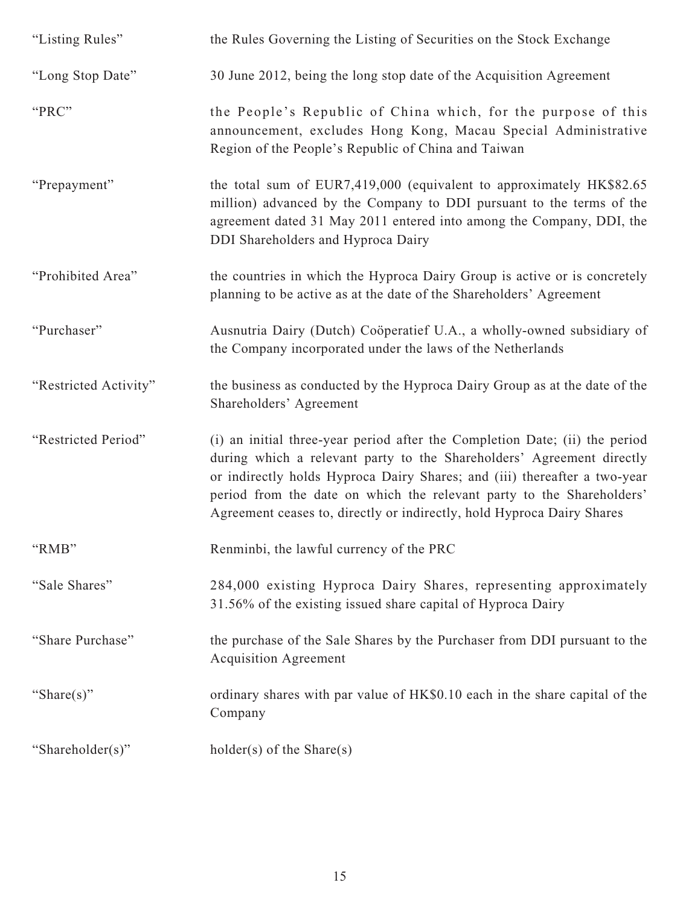| "Listing Rules"       | the Rules Governing the Listing of Securities on the Stock Exchange                                                                                                                                                                                                                                                                                                                  |
|-----------------------|--------------------------------------------------------------------------------------------------------------------------------------------------------------------------------------------------------------------------------------------------------------------------------------------------------------------------------------------------------------------------------------|
| "Long Stop Date"      | 30 June 2012, being the long stop date of the Acquisition Agreement                                                                                                                                                                                                                                                                                                                  |
| "PRC"                 | the People's Republic of China which, for the purpose of this<br>announcement, excludes Hong Kong, Macau Special Administrative<br>Region of the People's Republic of China and Taiwan                                                                                                                                                                                               |
| "Prepayment"          | the total sum of EUR7,419,000 (equivalent to approximately HK\$82.65<br>million) advanced by the Company to DDI pursuant to the terms of the<br>agreement dated 31 May 2011 entered into among the Company, DDI, the<br>DDI Shareholders and Hyproca Dairy                                                                                                                           |
| "Prohibited Area"     | the countries in which the Hyproca Dairy Group is active or is concretely<br>planning to be active as at the date of the Shareholders' Agreement                                                                                                                                                                                                                                     |
| "Purchaser"           | Ausnutria Dairy (Dutch) Coöperatief U.A., a wholly-owned subsidiary of<br>the Company incorporated under the laws of the Netherlands                                                                                                                                                                                                                                                 |
| "Restricted Activity" | the business as conducted by the Hyproca Dairy Group as at the date of the<br>Shareholders' Agreement                                                                                                                                                                                                                                                                                |
| "Restricted Period"   | (i) an initial three-year period after the Completion Date; (ii) the period<br>during which a relevant party to the Shareholders' Agreement directly<br>or indirectly holds Hyproca Dairy Shares; and (iii) thereafter a two-year<br>period from the date on which the relevant party to the Shareholders'<br>Agreement ceases to, directly or indirectly, hold Hyproca Dairy Shares |
| "RMB"                 | Renminbi, the lawful currency of the PRC                                                                                                                                                                                                                                                                                                                                             |
| "Sale Shares"         | 284,000 existing Hyproca Dairy Shares, representing approximately<br>31.56% of the existing issued share capital of Hyproca Dairy                                                                                                                                                                                                                                                    |
| "Share Purchase"      | the purchase of the Sale Shares by the Purchaser from DDI pursuant to the<br><b>Acquisition Agreement</b>                                                                                                                                                                                                                                                                            |
| "Share(s)"            | ordinary shares with par value of HK\$0.10 each in the share capital of the<br>Company                                                                                                                                                                                                                                                                                               |
| "Shareholder(s)"      | $holder(s)$ of the Share $(s)$                                                                                                                                                                                                                                                                                                                                                       |